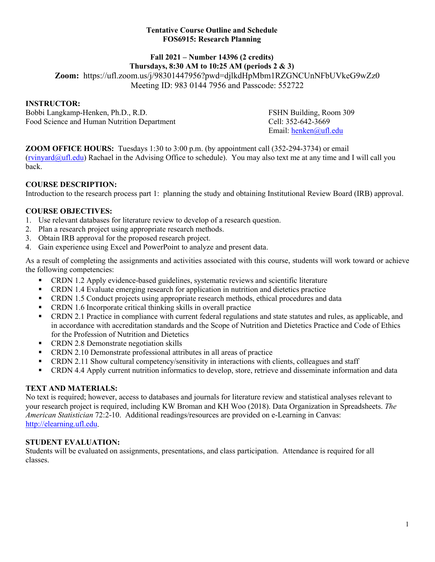#### **Tentative Course Outline and Schedule FOS6915: Research Planning**

# **Fall 2021 – Number 14396 (2 credits)**

**Thursdays, 8:30 AM to 10:25 AM (periods 2 & 3) Zoom:** https://ufl.zoom.us/j/98301447956?pwd=djlkdHpMbm1RZGNCUnNFbUVkeG9wZz0 Meeting ID: 983 0144 7956 and Passcode: 552722

## **INSTRUCTOR:**

Bobbi Langkamp-Henken, Ph.D., R.D.<br>
Food Science and Human Nutrition Department<br>
Cell: 352-642-3669 Food Science and Human Nutrition Department

Email: [henken@ufl.edu](mailto:henken@ufl.edu)

**ZOOM OFFICE HOURS:** Tuesdays 1:30 to 3:00 p.m. (by appointment call (352-294-3734) or email  $(rvinyard@ufl.edu)$  Rachael in the Advising Office to schedule). You may also text me at any time and I will call you back.

## **COURSE DESCRIPTION:**

Introduction to the research process part 1: planning the study and obtaining Institutional Review Board (IRB) approval.

## **COURSE OBJECTIVES:**

- 1. Use relevant databases for literature review to develop of a research question.
- 2. Plan a research project using appropriate research methods.
- 3. Obtain IRB approval for the proposed research project.
- 4. Gain experience using Excel and PowerPoint to analyze and present data.

As a result of completing the assignments and activities associated with this course, students will work toward or achieve the following competencies:

- CRDN 1.2 Apply evidence-based guidelines, systematic reviews and scientific literature
- CRDN 1.4 Evaluate emerging research for application in nutrition and dietetics practice
- CRDN 1.5 Conduct projects using appropriate research methods, ethical procedures and data
- CRDN 1.6 Incorporate critical thinking skills in overall practice
- CRDN 2.1 Practice in compliance with current federal regulations and state statutes and rules, as applicable, and in accordance with accreditation standards and the Scope of Nutrition and Dietetics Practice and Code of Ethics for the Profession of Nutrition and Dietetics
- **CRDN** 2.8 Demonstrate negotiation skills
- CRDN 2.10 Demonstrate professional attributes in all areas of practice
- CRDN 2.11 Show cultural competency/sensitivity in interactions with clients, colleagues and staff
- CRDN 4.4 Apply current nutrition informatics to develop, store, retrieve and disseminate information and data

## **TEXT AND MATERIALS:**

No text is required; however, access to databases and journals for literature review and statistical analyses relevant to your research project is required, including KW Broman and KH Woo (2018). Data Organization in Spreadsheets. *The American Statistician* 72:2-10. Additional readings/resources are provided on e-Learning in Canvas: [http://elearning.ufl.edu.](http://elearning.ufl.edu/)

## **STUDENT EVALUATION:**

Students will be evaluated on assignments, presentations, and class participation. Attendance is required for all classes.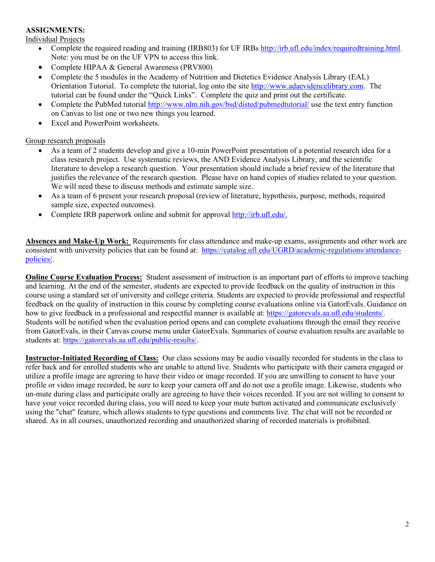#### **ASSIGNMENTS:**

Individual Projects

- Complete the required reading and training (IRB803) for UF IRBs [http://irb.ufl.edu/index/requiredtraining.html.](http://irb.ufl.edu/index/requiredtraining.html) Note: you must be on the UF VPN to access this link.
- Complete HIPAA & General Awareness (PRV800)
- Complete the 5 modules in the Academy of Nutrition and Dietetics Evidence Analysis Library (EAL) Orientation Tutorial. To complete the tutorial, log onto the site [http://www.adaevidencelibrary.com.](http://www.adaevidencelibrary.com/) The tutorial can be found under the "Quick Links". Complete the quiz and print out the certificate.
- Complete the PubMed tutorial<http://www.nlm.nih.gov/bsd/disted/pubmedtutorial/> use the text entry function on Canvas to list one or two new things you learned.
- Excel and PowerPoint worksheets.

#### Group research proposals

- As a team of 2 students develop and give a 10-min PowerPoint presentation of a potential research idea for a class research project. Use systematic reviews, the AND Evidence Analysis Library, and the scientific literature to develop a research question. Your presentation should include a brief review of the literature that justifies the relevance of the research question. Please have on hand copies of studies related to your question. We will need these to discuss methods and estimate sample size.
- As a team of 6 present your research proposal (review of literature, hypothesis, purpose, methods, required sample size, expected outcomes).
- Complete IRB paperwork online and submit for approval [http://irb.ufl.edu/.](http://irb.ufl.edu/)

**Absences and Make-Up Work:** Requirements for class attendance and make-up exams, assignments and other work are consistent with university policies that can be found at: [https://catalog.ufl.edu/UGRD/academic-regulations/attendance](https://catalog.ufl.edu/UGRD/academic-regulations/attendance-policies/)[policies/.](https://catalog.ufl.edu/UGRD/academic-regulations/attendance-policies/)

**Online Course Evaluation Process:** Student assessment of instruction is an important part of efforts to improve teaching and learning. At the end of the semester, students are expected to provide feedback on the quality of instruction in this course using a standard set of university and college criteria. Students are expected to provide professional and respectful feedback on the quality of instruction in this course by completing course evaluations online via GatorEvals. Guidance on how to give feedback in a professional and respectful manner is available at: [https://gatorevals.aa.ufl.edu/students/.](https://gatorevals.aa.ufl.edu/students/) Students will be notified when the evaluation period opens and can complete evaluations through the email they receive from GatorEvals, in their Canvas course menu under GatorEvals. Summaries of course evaluation results are available to students at: [https://gatorevals.aa.ufl.edu/public-results/.](https://gatorevals.aa.ufl.edu/public-results/)

**Instructor-Initiated Recording of Class:** Our class sessions may be audio visually recorded for students in the class to refer back and for enrolled students who are unable to attend live. Students who participate with their camera engaged or utilize a profile image are agreeing to have their video or image recorded. If you are unwilling to consent to have your profile or video image recorded, be sure to keep your camera off and do not use a profile image. Likewise, students who un-mute during class and participate orally are agreeing to have their voices recorded. If you are not willing to consent to have your voice recorded during class, you will need to keep your mute button activated and communicate exclusively using the "chat" feature, which allows students to type questions and comments live. The chat will not be recorded or shared. As in all courses, unauthorized recording and unauthorized sharing of recorded materials is prohibited.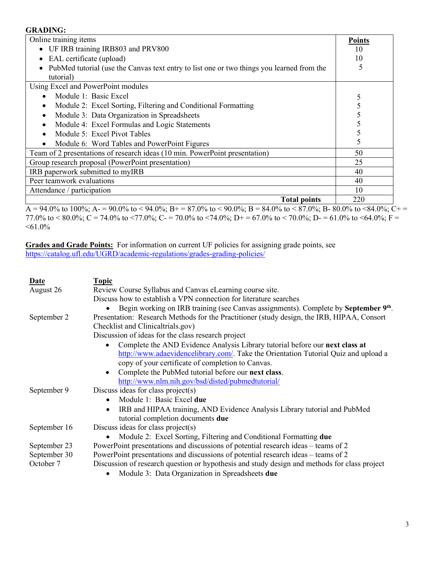#### **GRADING:**

| Online training items                                                                       | <b>Points</b> |
|---------------------------------------------------------------------------------------------|---------------|
| • UF IRB training IRB803 and PRV800                                                         | 10            |
| • EAL certificate (upload)                                                                  | 10            |
| • PubMed tutorial (use the Canvas text entry to list one or two things you learned from the | 5             |
| tutorial)                                                                                   |               |
| Using Excel and PowerPoint modules                                                          |               |
| Module 1: Basic Excel                                                                       |               |
| Module 2: Excel Sorting, Filtering and Conditional Formatting<br>٠                          |               |
| Module 3: Data Organization in Spreadsheets<br>$\bullet$                                    |               |
| Module 4: Excel Formulas and Logic Statements<br>$\bullet$                                  |               |
| Module 5: Excel Pivot Tables<br>$\bullet$                                                   |               |
| Module 6: Word Tables and PowerPoint Figures<br>$\bullet$                                   |               |
| Team of 2 presentations of research ideas (10 min. PowerPoint presentation)                 | 50            |
| Group research proposal (PowerPoint presentation)                                           | 25            |
| IRB paperwork submitted to myIRB                                                            | 40            |
| Peer teamwork evaluations                                                                   | 40            |
| Attendance / participation                                                                  | 10            |
| <b>Total points</b>                                                                         | 220           |

 $\overline{A} = 94.0\%$  to 100%;  $A = 90.0\%$  to < 94.0%;  $B = 87.0\%$  to < 90.0%;  $B = 84.0\%$  to < 87.0%;  $B = 80.0\%$  to <84.0%;  $C = 7.0\%$ 77.0% to  $< 80.0\%$ ; C = 74.0% to  $< 77.0\%$ ; C = 70.0% to  $< 74.0\%$ ; D + = 67.0% to  $< 70.0\%$ ; D = 61.0% to  $< 64.0\%$ ; F =  $<61.0\%$ 

**Grades and Grade Points:** For information on current UF policies for assigning grade points, see <https://catalog.ufl.edu/UGRD/academic-regulations/grades-grading-policies/>

| <b>Date</b><br>August 26                  | <b>Topic</b><br>Review Course Syllabus and Canvas eLearning course site.<br>Discuss how to establish a VPN connection for literature searches<br>Begin working on IRB training (see Canvas assignments). Complete by September 9 <sup>th</sup> .                                                                                                                                                                                                                                                                              |
|-------------------------------------------|-------------------------------------------------------------------------------------------------------------------------------------------------------------------------------------------------------------------------------------------------------------------------------------------------------------------------------------------------------------------------------------------------------------------------------------------------------------------------------------------------------------------------------|
| September 2                               | Presentation: Research Methods for the Practitioner (study design, the IRB, HIPAA, Consort<br>Checklist and Clinicaltrials.gov)<br>Discussion of ideas for the class research project<br>Complete the AND Evidence Analysis Library tutorial before our next class at<br>http://www.adaevidencelibrary.com/. Take the Orientation Tutorial Quiz and upload a<br>copy of your certificate of completion to Canvas.<br>Complete the PubMed tutorial before our next class.<br>http://www.nlm.nih.gov/bsd/disted/pubmedtutorial/ |
| September 9                               | Discuss ideas for class project(s)<br>Module 1: Basic Excel due<br>$\bullet$<br>IRB and HIPAA training, AND Evidence Analysis Library tutorial and PubMed<br>$\bullet$<br>tutorial completion documents due                                                                                                                                                                                                                                                                                                                   |
| September 16                              | Discuss ideas for class project(s)<br>Module 2: Excel Sorting, Filtering and Conditional Formatting due                                                                                                                                                                                                                                                                                                                                                                                                                       |
| September 23<br>September 30<br>October 7 | PowerPoint presentations and discussions of potential research ideas – teams of 2<br>PowerPoint presentations and discussions of potential research ideas – teams of 2<br>Discussion of research question or hypothesis and study design and methods for class project<br>Module 3: Data Organization in Spreadsheets due                                                                                                                                                                                                     |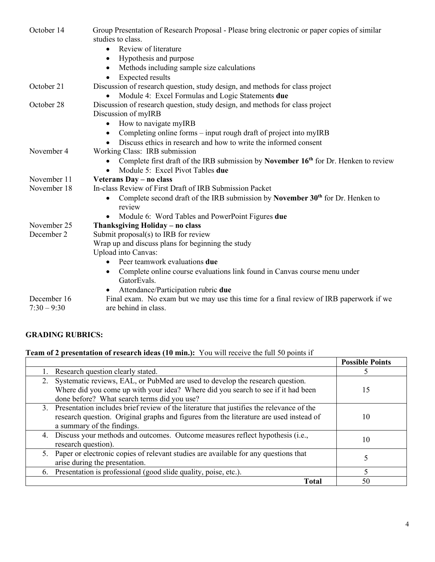| October 14    | Group Presentation of Research Proposal - Please bring electronic or paper copies of similar<br>studies to class. |
|---------------|-------------------------------------------------------------------------------------------------------------------|
|               | Review of literature<br>$\bullet$                                                                                 |
|               | Hypothesis and purpose<br>٠                                                                                       |
|               | Methods including sample size calculations<br>٠                                                                   |
|               | <b>Expected results</b><br>$\bullet$                                                                              |
| October 21    | Discussion of research question, study design, and methods for class project                                      |
|               | Module 4: Excel Formulas and Logic Statements due                                                                 |
| October 28    | Discussion of research question, study design, and methods for class project                                      |
|               | Discussion of myIRB                                                                                               |
|               | How to navigate myIRB<br>$\bullet$                                                                                |
|               | Completing online forms – input rough draft of project into myIRB<br>٠                                            |
|               | Discuss ethics in research and how to write the informed consent<br>$\bullet$                                     |
| November 4    | Working Class: IRB submission                                                                                     |
|               | Complete first draft of the IRB submission by November 16th for Dr. Henken to review                              |
|               | Module 5: Excel Pivot Tables due                                                                                  |
| November 11   | Veterans Day - no class                                                                                           |
| November 18   | In-class Review of First Draft of IRB Submission Packet                                                           |
|               | Complete second draft of the IRB submission by November $30th$ for Dr. Henken to<br>$\bullet$<br>review           |
|               | Module 6: Word Tables and PowerPoint Figures due                                                                  |
| November 25   | Thanksgiving Holiday - no class                                                                                   |
| December 2    | Submit proposal $(s)$ to IRB for review                                                                           |
|               | Wrap up and discuss plans for beginning the study                                                                 |
|               | Upload into Canvas:                                                                                               |
|               | Peer teamwork evaluations due<br>$\bullet$                                                                        |
|               | Complete online course evaluations link found in Canvas course menu under<br>GatorEvals.                          |
|               | Attendance/Participation rubric due                                                                               |
| December 16   | Final exam. No exam but we may use this time for a final review of IRB paperwork if we                            |
| $7:30 - 9:30$ | are behind in class.                                                                                              |

## **GRADING RUBRICS:**

# **Team of 2 presentation of research ideas (10 min.):** You will receive the full 50 points if

|                                                                                                                                                                                                                        | <b>Possible Points</b> |
|------------------------------------------------------------------------------------------------------------------------------------------------------------------------------------------------------------------------|------------------------|
| Research question clearly stated.                                                                                                                                                                                      |                        |
| Systematic reviews, EAL, or PubMed are used to develop the research question.<br>2.<br>Where did you come up with your idea? Where did you search to see if it had been<br>done before? What search terms did you use? | 15                     |
| 3. Presentation includes brief review of the literature that justifies the relevance of the<br>research question. Original graphs and figures from the literature are used instead of<br>a summary of the findings.    | 10                     |
| 4. Discuss your methods and outcomes. Outcome measures reflect hypothesis (i.e.,<br>research question).                                                                                                                | 10                     |
| 5. Paper or electronic copies of relevant studies are available for any questions that<br>arise during the presentation.                                                                                               |                        |
| 6. Presentation is professional (good slide quality, poise, etc.).                                                                                                                                                     |                        |
| <b>Total</b>                                                                                                                                                                                                           | 50                     |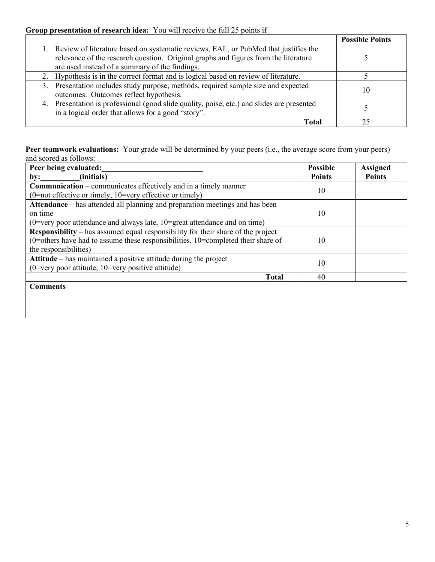## **Group presentation of research idea:** You will receive the full 25 points if

|                                                                                                                                                                                                                                 | <b>Possible Points</b> |
|---------------------------------------------------------------------------------------------------------------------------------------------------------------------------------------------------------------------------------|------------------------|
| 1. Review of literature based on systematic reviews, EAL, or PubMed that justifies the<br>relevance of the research question. Original graphs and figures from the literature<br>are used instead of a summary of the findings. |                        |
| 2. Hypothesis is in the correct format and is logical based on review of literature.                                                                                                                                            |                        |
| 3. Presentation includes study purpose, methods, required sample size and expected<br>outcomes. Outcomes reflect hypothesis.                                                                                                    | 10                     |
| 4. Presentation is professional (good slide quality, poise, etc.) and slides are presented<br>in a logical order that allows for a good "story".                                                                                |                        |
| Total                                                                                                                                                                                                                           |                        |

**Peer teamwork evaluations:** Your grade will be determined by your peers (i.e., the average score from your peers) and scored as follows:

| Peer being evaluated:                                                                   | <b>Possible</b> | <b>Assigned</b> |
|-----------------------------------------------------------------------------------------|-----------------|-----------------|
| (initials)<br>by:                                                                       | <b>Points</b>   | <b>Points</b>   |
| <b>Communication</b> – communicates effectively and in a timely manner                  |                 |                 |
| 10<br>$(0=$ not effective or timely, $10=$ very effective or timely)                    |                 |                 |
| Attendance – has attended all planning and preparation meetings and has been            |                 |                 |
| on time                                                                                 | 10              |                 |
| (0=very poor attendance and always late, $10$ =great attendance and on time)            |                 |                 |
| <b>Responsibility</b> – has assumed equal responsibility for their share of the project |                 |                 |
| (0=others have had to assume these responsibilities, 10=completed their share of        | 10              |                 |
| the responsibilities)                                                                   |                 |                 |
| Attitude – has maintained a positive attitude during the project                        | 10              |                 |
| $(0=$ very poor attitude, $10=$ very positive attitude)                                 |                 |                 |
| <b>Total</b>                                                                            | 40              |                 |
| <b>Comments</b>                                                                         |                 |                 |
|                                                                                         |                 |                 |
|                                                                                         |                 |                 |
|                                                                                         |                 |                 |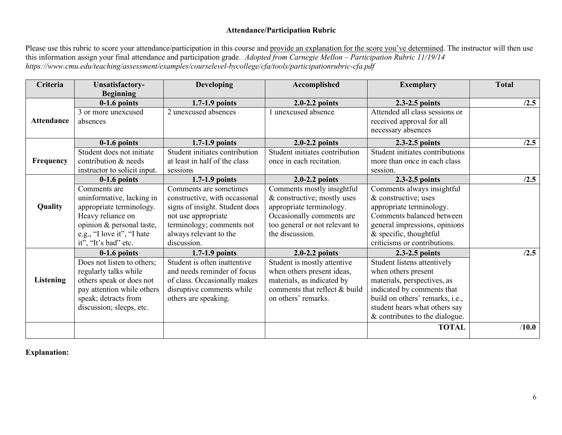## **Attendance/Participation Rubric**

Please use this rubric to score your attendance/participation in this course and provide an explanation for the score you've determined. The instructor will then use this information assign your final attendance and participation grade. *Adopted from Carnegie Mellon – Participation Rubric 11/19/14 https://www.cmu.edu/teaching/assessment/examples/courselevel-bycollege/cfa/tools/participationrubric-cfa.pdf*

| Criteria          | Unsatisfactory-                    | <b>Developing</b>              | Accomplished                   | <b>Exemplary</b>                                                                  | <b>Total</b> |
|-------------------|------------------------------------|--------------------------------|--------------------------------|-----------------------------------------------------------------------------------|--------------|
|                   | <b>Beginning</b><br>$0-1.6$ points | $1.7-1.9$ points               | $2.0 - 2.2$ points             | 2.3-2.5 points                                                                    | /2.5         |
| <b>Attendance</b> | 3 or more unexcused<br>absences    | 2 unexcused absences           | unexcused absence              | Attended all class sessions or<br>received approval for all<br>necessary absences |              |
|                   | $0-1.6$ points                     | $1.7-1.9$ points               | $2.0 - 2.2$ points             | 2.3-2.5 points                                                                    | /2.5         |
|                   | Student does not initiate          | Student initiates contribution | Student initiates contribution | Student initiates contributions                                                   |              |
| Frequency         | contribution & needs               | at least in half of the class  | once in each recitation.       | more than once in each class                                                      |              |
|                   | instructor to solicit input.       | sessions                       |                                | session.                                                                          |              |
|                   | $0-1.6$ points                     | $1.7-1.9$ points               | $2.0 - 2.2$ points             | 2.3-2.5 points                                                                    | /2.5         |
|                   | Comments are                       | Comments are sometimes         | Comments mostly insightful     | Comments always insightful                                                        |              |
|                   | uninformative, lacking in          | constructive, with occasional  | & constructive; mostly uses    | & constructive; uses                                                              |              |
| <b>Quality</b>    | appropriate terminology.           | signs of insight. Student does | appropriate terminology.       | appropriate terminology.                                                          |              |
|                   | Heavy reliance on                  | not use appropriate            | Occasionally comments are      | Comments balanced between                                                         |              |
|                   | opinion & personal taste,          | terminology; comments not      | too general or not relevant to | general impressions, opinions                                                     |              |
|                   | e.g., "I love it", "I hate         | always relevant to the         | the discussion.                | $&$ specific, thoughtful                                                          |              |
|                   | it", "It's bad" etc.               | discussion.                    |                                | criticisms or contributions.                                                      |              |
|                   | $0-1.6$ points                     | $1.7-1.9$ points               | $2.0 - 2.2$ points             | 2.3-2.5 points                                                                    | /2.5         |
|                   | Does not listen to others;         | Student is often inattentive   | Student is mostly attentive    | Student listens attentively                                                       |              |
|                   | regularly talks while              | and needs reminder of focus    | when others present ideas,     | when others present                                                               |              |
| <b>Listening</b>  | others speak or does not           | of class. Occasionally makes   | materials, as indicated by     | materials, perspectives, as                                                       |              |
|                   | pay attention while others         | disruptive comments while      | comments that reflect & build  | indicated by comments that                                                        |              |
|                   | speak; detracts from               | others are speaking.           | on others' remarks.            | build on others' remarks, i.e.,                                                   |              |
|                   | discussion; sleeps, etc.           |                                |                                | student hears what others say                                                     |              |
|                   |                                    |                                |                                | & contributes to the dialogue.                                                    |              |
|                   |                                    |                                |                                | <b>TOTAL</b>                                                                      | /10.0        |

**Explanation:**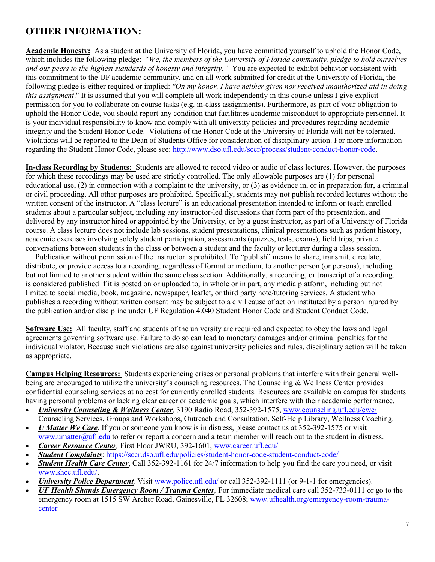# **OTHER INFORMATION:**

**Academic Honesty:** As a student at the University of Florida, you have committed yourself to uphold the Honor Code, which includes the following pledge: "*We, the members of the University of Florida community, pledge to hold ourselves and our peers to the highest standards of honesty and integrity."* You are expected to exhibit behavior consistent with this commitment to the UF academic community, and on all work submitted for credit at the University of Florida, the following pledge is either required or implied: *"On my honor, I have neither given nor received unauthorized aid in doing this assignment*." It is assumed that you will complete all work independently in this course unless I give explicit permission for you to collaborate on course tasks (e.g. in-class assignments). Furthermore, as part of your obligation to uphold the Honor Code, you should report any condition that facilitates academic misconduct to appropriate personnel. It is your individual responsibility to know and comply with all university policies and procedures regarding academic integrity and the Student Honor Code. Violations of the Honor Code at the University of Florida will not be tolerated. Violations will be reported to the Dean of Students Office for consideration of disciplinary action. For more information regarding the Student Honor Code, please see: [http://www.dso.ufl.edu/sccr/process/student-conduct-honor-code.](http://www.dso.ufl.edu/sccr/process/student-conduct-honor-code)

**In-class Recording by Students:** Students are allowed to record video or audio of class lectures. However, the purposes for which these recordings may be used are strictly controlled. The only allowable purposes are (1) for personal educational use, (2) in connection with a complaint to the university, or (3) as evidence in, or in preparation for, a criminal or civil proceeding. All other purposes are prohibited. Specifically, students may not publish recorded lectures without the written consent of the instructor. A "class lecture" is an educational presentation intended to inform or teach enrolled students about a particular subject, including any instructor-led discussions that form part of the presentation, and delivered by any instructor hired or appointed by the University, or by a guest instructor, as part of a University of Florida course. A class lecture does not include lab sessions, student presentations, clinical presentations such as patient history, academic exercises involving solely student participation, assessments (quizzes, tests, exams), field trips, private conversations between students in the class or between a student and the faculty or lecturer during a class session.

 Publication without permission of the instructor is prohibited. To "publish" means to share, transmit, circulate, distribute, or provide access to a recording, regardless of format or medium, to another person (or persons), including but not limited to another student within the same class section. Additionally, a recording, or transcript of a recording, is considered published if it is posted on or uploaded to, in whole or in part, any media platform, including but not limited to social media, book, magazine, newspaper, leaflet, or third party note/tutoring services. A student who publishes a recording without written consent may be subject to a civil cause of action instituted by a person injured by the publication and/or discipline under UF Regulation 4.040 Student Honor Code and Student Conduct Code.

**Software Use:** All faculty, staff and students of the university are required and expected to obey the laws and legal agreements governing software use. Failure to do so can lead to monetary damages and/or criminal penalties for the individual violator. Because such violations are also against university policies and rules, disciplinary action will be taken as appropriate.

**Campus Helping Resources:** Students experiencing crises or personal problems that interfere with their general wellbeing are encouraged to utilize the university's counseling resources. The Counseling & Wellness Center provides confidential counseling services at no cost for currently enrolled students. Resources are available on campus for students having personal problems or lacking clear career or academic goals, which interfere with their academic performance.

- *University Counseling & Wellness Center,* 3190 Radio Road, 352-392-1575, www.counseling.ufl.edu/cwc/ Counseling Services, Groups and Workshops, Outreach and Consultation, Self-Help Library, Wellness Coaching.
- *U Matter We Care*, If you or someone you know is in distress, please contact us at 352-392-1575 or visit www.umatter@ufl.edu to refer or report a concern and a team member will reach out to the student in distress.
- *Career Resource Center,* First Floor JWRU, 392-1601, www.career.ufl.edu/
- *Student Complaints*:<https://sccr.dso.ufl.edu/policies/student-honor-code-student-conduct-code/>
- *Student Health Care Center*, Call 352-392-1161 for 24/7 information to help you find the care you need, or visit www.shcc.ufl.edu/.
- *University Police Department,* Visit www.police.ufl.edu/ or call 352-392-1111 (or 9-1-1 for emergencies).
- *UF Health Shands Emergency Room / Trauma Center,* For immediate medical care call 352-733-0111 or go to the emergency room at 1515 SW Archer Road, Gainesville, FL 32608; www.ufhealth.org/emergency-room-traumacenter*.*